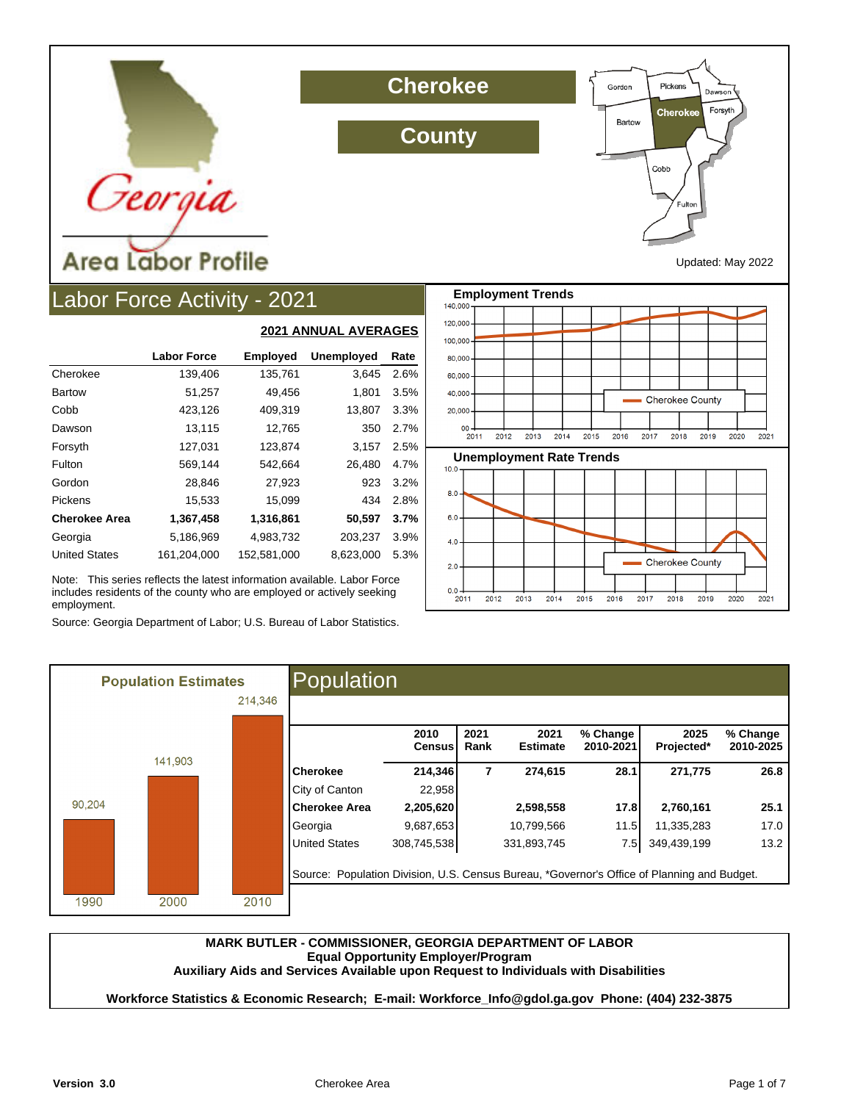

**Cherokee**

**County**



Updated: May 2022

# Labor Force Activity - 2021

|                      |                    | <b>2021 ANNUAL AVERAGES</b> |                   |      |  |  |  |
|----------------------|--------------------|-----------------------------|-------------------|------|--|--|--|
|                      | <b>Labor Force</b> | <b>Employed</b>             | <b>Unemployed</b> | Rate |  |  |  |
| Cherokee             | 139,406            | 135,761                     | 3,645             | 2.6% |  |  |  |
| <b>Bartow</b>        | 51,257             | 49,456                      | 1,801             | 3.5% |  |  |  |
| Cobb                 | 423,126            | 409,319                     | 13,807            | 3.3% |  |  |  |
| Dawson               | 13,115             | 12,765                      | 350               | 2.7% |  |  |  |
| Forsyth              | 127,031            | 123,874                     | 3,157             | 2.5% |  |  |  |
| Fulton               | 569,144            | 542,664                     | 26.480            | 4.7% |  |  |  |
| Gordon               | 28,846             | 27,923                      | 923               | 3.2% |  |  |  |
| Pickens              | 15,533             | 15,099                      | 434               | 2.8% |  |  |  |
| <b>Cherokee Area</b> | 1,367,458          | 1,316,861                   | 50,597            | 3.7% |  |  |  |
| Georgia              | 5,186,969          | 4,983,732                   | 203,237           | 3.9% |  |  |  |
| <b>United States</b> | 161,204,000        | 152,581,000                 | 8,623,000         | 5.3% |  |  |  |

Note: This series reflects the latest information available. Labor Force includes residents of the county who are employed or actively seeking employment.

Source: Georgia Department of Labor; U.S. Bureau of Labor Statistics.



|        | <b>Population Estimates</b> |         | Population                                                                                  |                       |              |                         |                       |                    |                       |
|--------|-----------------------------|---------|---------------------------------------------------------------------------------------------|-----------------------|--------------|-------------------------|-----------------------|--------------------|-----------------------|
|        |                             | 214,346 |                                                                                             |                       |              |                         |                       |                    |                       |
|        |                             |         |                                                                                             | 2010<br><b>Census</b> | 2021<br>Rank | 2021<br><b>Estimate</b> | % Change<br>2010-2021 | 2025<br>Projected* | % Change<br>2010-2025 |
|        | 141,903                     |         | <b>Cherokee</b>                                                                             | 214,346               | 7            | 274,615                 | 28.1                  | 271,775            | 26.8                  |
|        |                             |         | City of Canton                                                                              | 22,958                |              |                         |                       |                    |                       |
| 90,204 |                             |         | <b>Cherokee Area</b>                                                                        | 2,205,620             |              | 2,598,558               | 17.8                  | 2,760,161          | 25.1                  |
|        |                             |         | Georgia                                                                                     | 9,687,653             |              | 10,799,566              | 11.5                  | 11,335,283         | 17.0                  |
|        |                             |         | <b>United States</b>                                                                        | 308,745,538           |              | 331,893,745             | 7.5 I                 | 349,439,199        | 13.2                  |
|        |                             |         | Source: Population Division, U.S. Census Bureau, *Governor's Office of Planning and Budget. |                       |              |                         |                       |                    |                       |
| 1990   | 2000                        | 2010    |                                                                                             |                       |              |                         |                       |                    |                       |

#### **MARK BUTLER - COMMISSIONER, GEORGIA DEPARTMENT OF LABOR Equal Opportunity Employer/Program Auxiliary Aids and Services Available upon Request to Individuals with Disabilities**

**Workforce Statistics & Economic Research; E-mail: Workforce\_Info@gdol.ga.gov Phone: (404) 232-3875**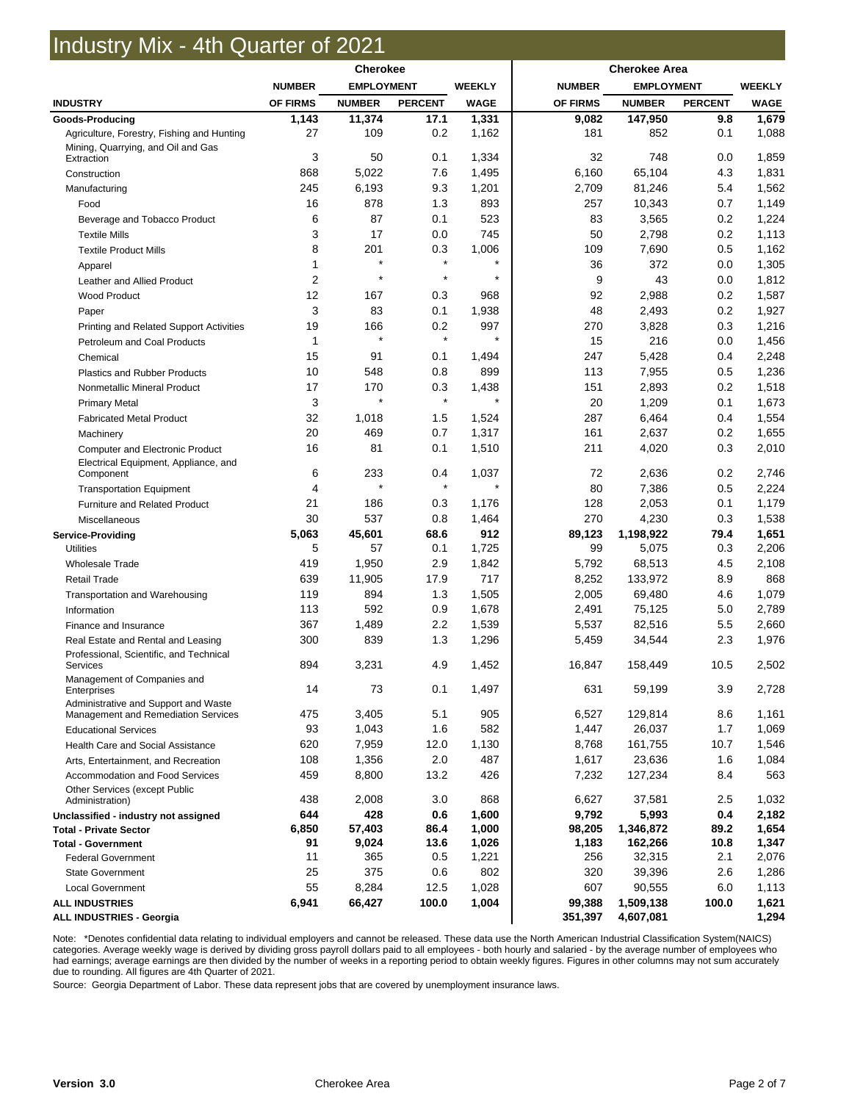# Industry Mix - 4th Quarter of 2021

|                                                        | <b>Cherokee</b> |                   |                | <b>Cherokee Area</b> |                |                   |                |                |
|--------------------------------------------------------|-----------------|-------------------|----------------|----------------------|----------------|-------------------|----------------|----------------|
|                                                        | <b>NUMBER</b>   | <b>EMPLOYMENT</b> |                | <b>WEEKLY</b>        | <b>NUMBER</b>  | <b>EMPLOYMENT</b> |                | <b>WEEKLY</b>  |
| <b>INDUSTRY</b>                                        | OF FIRMS        | <b>NUMBER</b>     | <b>PERCENT</b> | <b>WAGE</b>          | OF FIRMS       | <b>NUMBER</b>     | <b>PERCENT</b> | <b>WAGE</b>    |
| Goods-Producing                                        | 1,143           | 11,374            | 17.1           | 1,331                | 9,082          | 147,950           | 9.8            | 1,679          |
| Agriculture, Forestry, Fishing and Hunting             | 27              | 109               | 0.2            | 1,162                | 181            | 852               | 0.1            | 1,088          |
| Mining, Quarrying, and Oil and Gas                     |                 |                   |                |                      |                |                   |                |                |
| Extraction                                             | 3               | 50                | 0.1            | 1,334                | 32             | 748               | 0.0            | 1,859          |
| Construction                                           | 868<br>245      | 5,022<br>6,193    | 7.6<br>9.3     | 1,495<br>1,201       | 6,160<br>2,709 | 65,104<br>81,246  | 4.3<br>5.4     | 1,831<br>1,562 |
| Manufacturing                                          |                 |                   |                |                      |                |                   |                |                |
| Food                                                   | 16              | 878               | 1.3            | 893                  | 257            | 10,343            | 0.7            | 1,149          |
| Beverage and Tobacco Product                           | 6<br>3          | 87<br>17          | 0.1<br>0.0     | 523<br>745           | 83<br>50       | 3,565<br>2,798    | 0.2<br>0.2     | 1,224<br>1,113 |
| <b>Textile Mills</b>                                   |                 |                   |                |                      |                |                   |                |                |
| <b>Textile Product Mills</b>                           | 8<br>1          | 201<br>$\star$    | 0.3<br>$\star$ | 1,006<br>$\star$     | 109<br>36      | 7,690<br>372      | 0.5<br>0.0     | 1,162<br>1,305 |
| Apparel                                                | $\overline{2}$  |                   | $\star$        | $\star$              | 9              | 43                | 0.0            | 1,812          |
| Leather and Allied Product<br><b>Wood Product</b>      | 12              | 167               | 0.3            | 968                  | 92             | 2,988             | 0.2            | 1,587          |
|                                                        | 3               | 83                | 0.1            | 1,938                | 48             | 2,493             | 0.2            | 1,927          |
| Paper                                                  | 19              | 166               | 0.2            | 997                  | 270            | 3,828             | 0.3            | 1,216          |
| <b>Printing and Related Support Activities</b>         |                 | $\star$           | $\star$        | $\star$              |                |                   |                |                |
| Petroleum and Coal Products                            | 1               |                   |                |                      | 15<br>247      | 216               | 0.0            | 1,456          |
| Chemical                                               | 15              | 91                | 0.1            | 1,494                |                | 5,428             | 0.4            | 2,248          |
| <b>Plastics and Rubber Products</b>                    | 10              | 548               | 0.8            | 899                  | 113            | 7,955             | 0.5            | 1,236          |
| Nonmetallic Mineral Product                            | 17              | 170<br>$\star$    | 0.3<br>$\star$ | 1,438<br>$\star$     | 151            | 2,893             | 0.2            | 1,518          |
| <b>Primary Metal</b>                                   | 3<br>32         |                   |                |                      | 20<br>287      | 1,209             | 0.1            | 1,673          |
| <b>Fabricated Metal Product</b>                        |                 | 1,018             | 1.5            | 1,524                |                | 6,464             | 0.4            | 1,554          |
| Machinery                                              | 20              | 469               | 0.7            | 1,317                | 161            | 2,637             | 0.2            | 1,655          |
| <b>Computer and Electronic Product</b>                 | 16              | 81                | 0.1            | 1,510                | 211            | 4,020             | 0.3            | 2,010          |
| Electrical Equipment, Appliance, and<br>Component      | 6               | 233               | 0.4            | 1,037                | 72             | 2,636             | 0.2            | 2,746          |
| <b>Transportation Equipment</b>                        | 4               |                   | $\star$        | $\star$              | 80             | 7,386             | 0.5            | 2,224          |
| Furniture and Related Product                          | 21              | 186               | 0.3            | 1,176                | 128            | 2,053             | 0.1            | 1,179          |
| Miscellaneous                                          | 30              | 537               | 0.8            | 1,464                | 270            | 4,230             | 0.3            | 1,538          |
| <b>Service-Providing</b>                               | 5,063           | 45,601            | 68.6           | 912                  | 89,123         | 1,198,922         | 79.4           | 1,651          |
| <b>Utilities</b>                                       | 5               | 57                | 0.1            | 1,725                | 99             | 5,075             | 0.3            | 2,206          |
| <b>Wholesale Trade</b>                                 | 419             | 1,950             | 2.9            | 1,842                | 5,792          | 68,513            | 4.5            | 2,108          |
| <b>Retail Trade</b>                                    | 639             | 11,905            | 17.9           | 717                  | 8,252          | 133,972           | 8.9            | 868            |
| Transportation and Warehousing                         | 119             | 894               | 1.3            | 1,505                | 2,005          | 69,480            | 4.6            | 1,079          |
| Information                                            | 113             | 592               | 0.9            | 1,678                | 2,491          | 75,125            | 5.0            | 2,789          |
| Finance and Insurance                                  | 367             | 1,489             | 2.2            | 1,539                | 5,537          | 82,516            | 5.5            | 2,660          |
| Real Estate and Rental and Leasing                     | 300             | 839               | 1.3            | 1,296                | 5,459          | 34,544            | 2.3            | 1,976          |
| Professional, Scientific, and Technical                |                 |                   |                |                      |                |                   |                |                |
| Services                                               | 894             | 3,231             | 4.9            | 1,452                | 16,847         | 158,449           | 10.5           | 2,502          |
| Management of Companies and<br>Enterprises             | 14              | 73                | 0.1            | 1,497                | 631            | 59,199            | 3.9            | 2,728          |
| Administrative and Support and Waste                   |                 |                   |                |                      |                |                   |                |                |
| Management and Remediation Services                    | 475             | 3,405             | 5.1            | 905                  | 6,527          | 129,814           | 8.6            | 1,161          |
| <b>Educational Services</b>                            | 93              | 1,043             | 1.6            | 582                  | 1,447          | 26,037            | 1.7            | 1,069          |
| Health Care and Social Assistance                      | 620             | 7,959             | 12.0           | 1,130                | 8,768          | 161,755           | 10.7           | 1,546          |
| Arts, Entertainment, and Recreation                    | 108             | 1,356             | 2.0            | 487                  | 1,617          | 23,636            | 1.6            | 1,084          |
| Accommodation and Food Services                        | 459             | 8,800             | 13.2           | 426                  | 7,232          | 127,234           | 8.4            | 563            |
| Other Services (except Public                          |                 |                   |                |                      |                |                   |                |                |
| Administration)                                        | 438             | 2,008             | 3.0            | 868                  | 6,627          | 37,581            | 2.5            | 1,032          |
| Unclassified - industry not assigned                   | 644             | 428               | 0.6            | 1,600                | 9,792          | 5,993             | 0.4            | 2,182          |
| <b>Total - Private Sector</b>                          | 6,850           | 57,403            | 86.4           | 1,000                | 98,205         | 1,346,872         | 89.2           | 1,654          |
| <b>Total - Government</b><br><b>Federal Government</b> | 91<br>11        | 9,024<br>365      | 13.6<br>0.5    | 1,026<br>1,221       | 1,183<br>256   | 162,266<br>32,315 | 10.8<br>2.1    | 1,347<br>2,076 |
|                                                        | 25              | 375               | 0.6            | 802                  | 320            | 39,396            | 2.6            | 1,286          |
| <b>State Government</b>                                | 55              | 8,284             | 12.5           | 1,028                | 607            | 90,555            | 6.0            | 1,113          |
| <b>Local Government</b><br><b>ALL INDUSTRIES</b>       | 6,941           | 66,427            | 100.0          | 1,004                | 99,388         | 1,509,138         | 100.0          | 1,621          |
| <b>ALL INDUSTRIES - Georgia</b>                        |                 |                   |                |                      | 351,397        | 4,607,081         |                | 1,294          |

Note: \*Denotes confidential data relating to individual employers and cannot be released. These data use the North American Industrial Classification System(NAICS) categories. Average weekly wage is derived by dividing gross payroll dollars paid to all employees - both hourly and salaried - by the average number of employees who had earnings; average earnings are then divided by the number of weeks in a reporting period to obtain weekly figures. Figures in other columns may not sum accurately due to rounding. All figures are 4th Quarter of 2021.

Source: Georgia Department of Labor. These data represent jobs that are covered by unemployment insurance laws.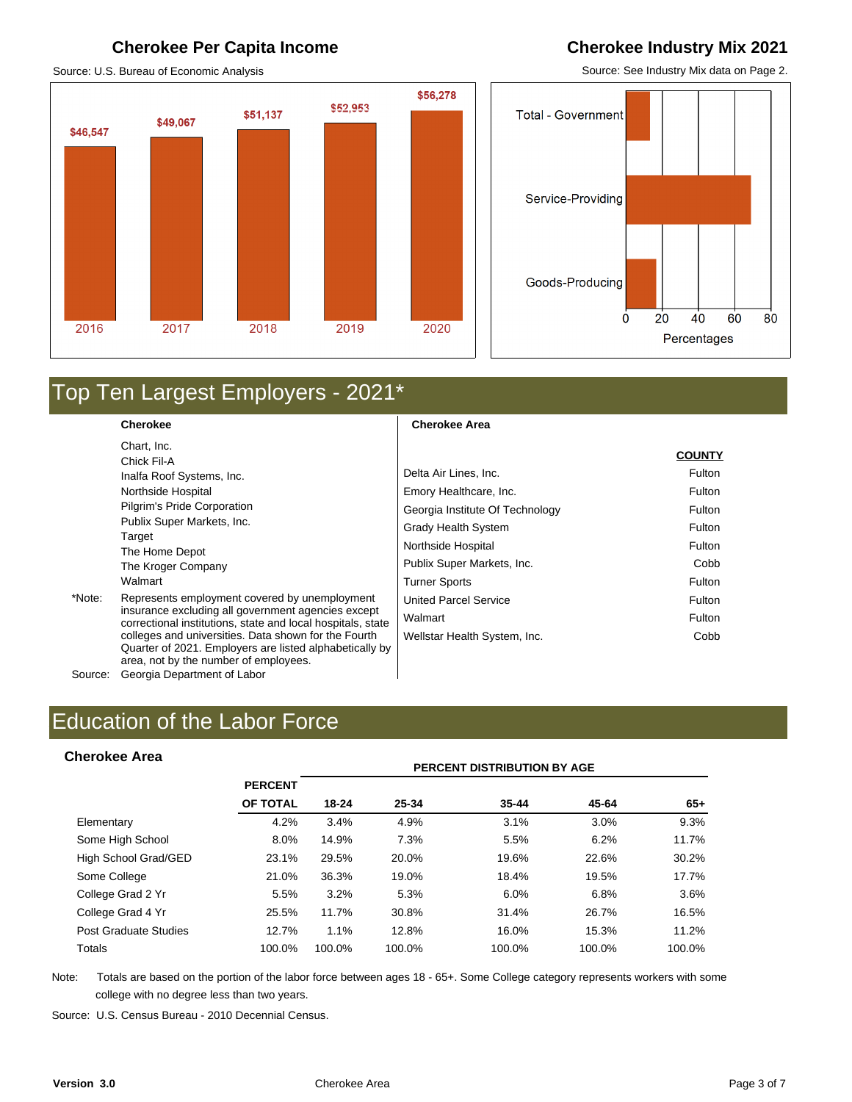#### **Cherokee Per Capita Income Cherokee Industry Mix 2021**

Source: U.S. Bureau of Economic Analysis

# \$56,278 \$52,953 \$51,137 \$49,067 \$46,547 2016 2017 2019 2020 2018

Source: See Industry Mix data on Page 2.



# Top Ten Largest Employers - 2021\*

**Cherokee**  Chart, Inc. Chick Fil-A Inalfa Roof Systems, Inc. Northside Hospital Pilgrim's Pride Corporation Publix Super Markets, Inc. Target The Home Depot The Kroger Company Walmart \*Note: Represents employment covered by unemployment insurance excluding all government agencies except correctional institutions, state and local hospitals, state colleges and universities. Data shown for the Fourth Quarter of 2021. Employers are listed alphabetically by area, not by the number of employees.

**Cherokee Area** 

|                                 | <b>COUNTY</b> |
|---------------------------------|---------------|
| Delta Air Lines, Inc.           | Fulton        |
| Emory Healthcare, Inc.          | Fulton        |
| Georgia Institute Of Technology | Fulton        |
| Grady Health System             | Fulton        |
| Northside Hospital              | Fulton        |
| Publix Super Markets, Inc.      | Cobb          |
| <b>Turner Sports</b>            | Fulton        |
| <b>United Parcel Service</b>    | Fulton        |
| Walmart                         | Fulton        |
| Wellstar Health System, Inc.    | Cobb          |

# Education of the Labor Force<br> **Cherokee Area**<br>
PERCENT DISTRIBUTION BY AGE

Source: Georgia Department of Labor

#### **Cherokee Area**

|                       |                | PERCENT DISTRIBUTION BY AGE |        |           |        |        |  |  |  |
|-----------------------|----------------|-----------------------------|--------|-----------|--------|--------|--|--|--|
|                       | <b>PERCENT</b> |                             |        |           |        |        |  |  |  |
|                       | OF TOTAL       | 18-24                       | 25-34  | $35 - 44$ | 45-64  | $65+$  |  |  |  |
| Elementary            | 4.2%           | 3.4%                        | 4.9%   | 3.1%      | 3.0%   | 9.3%   |  |  |  |
| Some High School      | $8.0\%$        | 14.9%                       | 7.3%   | 5.5%      | 6.2%   | 11.7%  |  |  |  |
| High School Grad/GED  | 23.1%          | 29.5%                       | 20.0%  | 19.6%     | 22.6%  | 30.2%  |  |  |  |
| Some College          | 21.0%          | 36.3%                       | 19.0%  | 18.4%     | 19.5%  | 17.7%  |  |  |  |
| College Grad 2 Yr     | 5.5%           | 3.2%                        | 5.3%   | 6.0%      | 6.8%   | 3.6%   |  |  |  |
| College Grad 4 Yr     | 25.5%          | 11.7%                       | 30.8%  | 31.4%     | 26.7%  | 16.5%  |  |  |  |
| Post Graduate Studies | 12.7%          | 1.1%                        | 12.8%  | 16.0%     | 15.3%  | 11.2%  |  |  |  |
| Totals                | 100.0%         | 100.0%                      | 100.0% | 100.0%    | 100.0% | 100.0% |  |  |  |

Note: Totals are based on the portion of the labor force between ages 18 - 65+. Some College category represents workers with some college with no degree less than two years.

Source: U.S. Census Bureau - 2010 Decennial Census.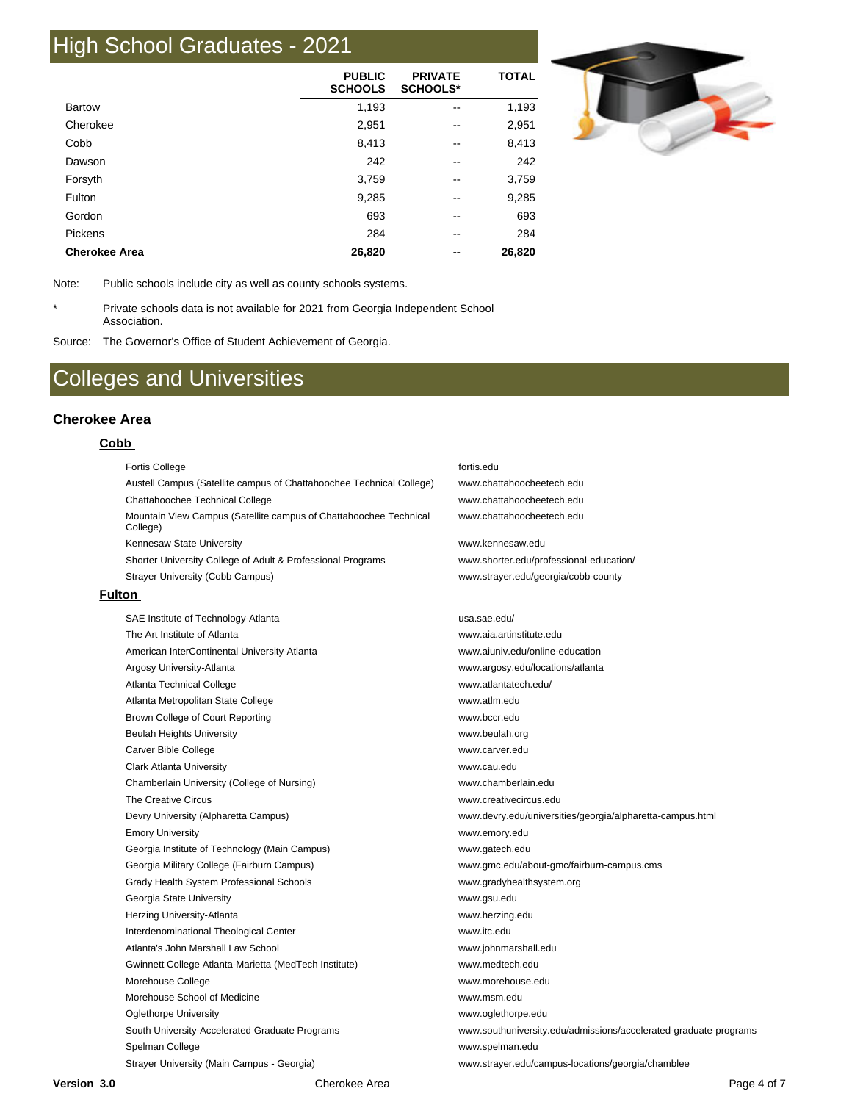## High School Graduates - 2021

|                      | <b>PUBLIC</b><br><b>SCHOOLS</b> | <b>PRIVATE</b><br><b>SCHOOLS*</b> | <b>TOTAL</b> |
|----------------------|---------------------------------|-----------------------------------|--------------|
| <b>Bartow</b>        | 1,193                           | $\overline{\phantom{m}}$          | 1,193        |
| Cherokee             | 2,951                           | --                                | 2,951        |
| Cobb                 | 8,413                           | --                                | 8,413        |
| Dawson               | 242                             | --                                | 242          |
| Forsyth              | 3,759                           | --                                | 3,759        |
| Fulton               | 9,285                           | --                                | 9,285        |
| Gordon               | 693                             | --                                | 693          |
| Pickens              | 284                             |                                   | 284          |
| <b>Cherokee Area</b> | 26,820                          |                                   | 26,820       |



Note: Public schools include city as well as county schools systems.

\* Private schools data is not available for 2021 from Georgia Independent School Association.

Source: The Governor's Office of Student Achievement of Georgia.

## Colleges and Universities

#### **Cherokee Area**

#### **Cobb**

Fortis College fortis.edu Austell Campus (Satellite campus of Chattahoochee Technical College) www.chattahoocheetech.edu Chattahoochee Technical College www.chattahoocheetech.edu Mountain View Campus (Satellite campus of Chattahoochee Technical College) Kennesaw State University Washington and the www.kennesaw.edu Shorter University-College of Adult & Professional Programs www.shorter.edu/professional-education/ Strayer University (Cobb Campus) www.strayer.edu/georgia/cobb-county **Fulton**  SAE Institute of Technology-Atlanta usa.sae.edu/ The Art Institute of Atlanta www.aia.artinstitute.edu American InterContinental University-Atlanta www.aiuniv.edu/online-education Argosy University-Atlanta www.argosy.edu/locations/atlanta Atlanta Technical College www.atlantatech.edu/ Atlanta Metropolitan State College www.atlm.edu Brown College of Court Reporting WWW.bccr.edu Beulah Heights University www.beulah.org Carver Bible College www.carver.edu Clark Atlanta University www.cau.edu Chamberlain University (College of Nursing) www.chamberlain.edu The Creative Circus www.creativecircus.edu Devry University (Alpharetta Campus) www.devry.edu/universities/georgia/alpharetta-campus.html Emory University www.emory.edu Georgia Institute of Technology (Main Campus) www.gatech.edu Georgia Military College (Fairburn Campus) www.gmc.edu/about-gmc/fairburn-campus.cms Grady Health System Professional Schools www.gradyhealthsystem.org Georgia State University www.gsu.edu Herzing University-Atlanta www.herzing.edu Interdenominational Theological Center www.itc.edu Atlanta's John Marshall Law School www.johnmarshall.edu Gwinnett College Atlanta-Marietta (MedTech Institute) www.medtech.edu Morehouse College www.morehouse.edu Morehouse School of Medicine www.msm.edu Oglethorpe University www.oglethorpe.edu South University-Accelerated Graduate Programs www.southuniversity.edu/admissions/accelerated-graduate-programs Spelman College www.spelman.edu Strayer University (Main Campus - Georgia) www.strayer.edu/campus-locations/georgia/chamblee

www.chattahoocheetech.edu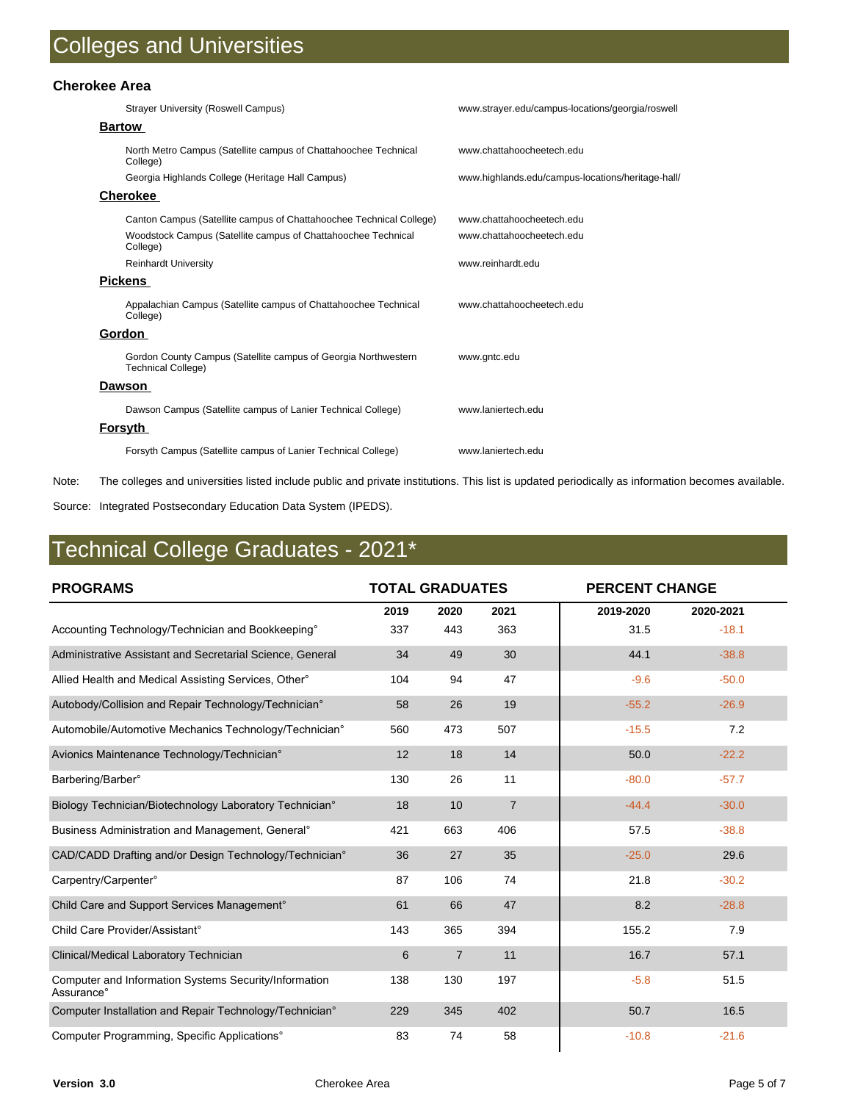#### **Cherokee Area**

| <b>Strayer University (Roswell Campus)</b>                                                  | www.strayer.edu/campus-locations/georgia/roswell  |
|---------------------------------------------------------------------------------------------|---------------------------------------------------|
| <b>Bartow</b>                                                                               |                                                   |
| North Metro Campus (Satellite campus of Chattahoochee Technical<br>College)                 | www.chattahoocheetech.edu                         |
| Georgia Highlands College (Heritage Hall Campus)                                            | www.highlands.edu/campus-locations/heritage-hall/ |
| <u>Cherokee</u>                                                                             |                                                   |
| Canton Campus (Satellite campus of Chattahoochee Technical College)                         | www.chattahoocheetech.edu                         |
| Woodstock Campus (Satellite campus of Chattahoochee Technical<br>College)                   | www.chattahoocheetech.edu                         |
| <b>Reinhardt University</b>                                                                 | www.reinhardt.edu                                 |
| <b>Pickens</b>                                                                              |                                                   |
| Appalachian Campus (Satellite campus of Chattahoochee Technical<br>College)                 | www.chattahoocheetech.edu                         |
| Gordon                                                                                      |                                                   |
| Gordon County Campus (Satellite campus of Georgia Northwestern<br><b>Technical College)</b> | www.gntc.edu                                      |
| Dawson                                                                                      |                                                   |
| Dawson Campus (Satellite campus of Lanier Technical College)                                | www.laniertech.edu                                |
| <u>Forsyth</u>                                                                              |                                                   |
| Forsyth Campus (Satellite campus of Lanier Technical College)                               | www.laniertech.edu                                |

Note: The colleges and universities listed include public and private institutions. This list is updated periodically as information becomes available.

Source: Integrated Postsecondary Education Data System (IPEDS).

# Technical College Graduates - 2021\*

| <b>PROGRAMS</b>                                                     | <b>TOTAL GRADUATES</b> |                |                |           | <b>PERCENT CHANGE</b> |  |  |
|---------------------------------------------------------------------|------------------------|----------------|----------------|-----------|-----------------------|--|--|
|                                                                     | 2019                   | 2020           | 2021           | 2019-2020 | 2020-2021             |  |  |
| Accounting Technology/Technician and Bookkeeping <sup>o</sup>       | 337                    | 443            | 363            | 31.5      | $-18.1$               |  |  |
| Administrative Assistant and Secretarial Science, General           | 34                     | 49             | 30             | 44.1      | $-38.8$               |  |  |
| Allied Health and Medical Assisting Services, Other <sup>®</sup>    | 104                    | 94             | 47             | $-9.6$    | $-50.0$               |  |  |
| Autobody/Collision and Repair Technology/Technician°                | 58                     | 26             | 19             | $-55.2$   | $-26.9$               |  |  |
| Automobile/Automotive Mechanics Technology/Technician°              | 560                    | 473            | 507            | $-15.5$   | 7.2                   |  |  |
| Avionics Maintenance Technology/Technician°                         | 12                     | 18             | 14             | 50.0      | $-22.2$               |  |  |
| Barbering/Barber°                                                   | 130                    | 26             | 11             | $-80.0$   | $-57.7$               |  |  |
| Biology Technician/Biotechnology Laboratory Technician°             | 18                     | 10             | $\overline{7}$ | $-44.4$   | $-30.0$               |  |  |
| Business Administration and Management, General <sup>®</sup>        | 421                    | 663            | 406            | 57.5      | $-38.8$               |  |  |
| CAD/CADD Drafting and/or Design Technology/Technician°              | 36                     | 27             | 35             | $-25.0$   | 29.6                  |  |  |
| Carpentry/Carpenter°                                                | 87                     | 106            | 74             | 21.8      | $-30.2$               |  |  |
| Child Care and Support Services Management°                         | 61                     | 66             | 47             | 8.2       | $-28.8$               |  |  |
| Child Care Provider/Assistant <sup>o</sup>                          | 143                    | 365            | 394            | 155.2     | 7.9                   |  |  |
| Clinical/Medical Laboratory Technician                              | $6\phantom{1}$         | $\overline{7}$ | 11             | 16.7      | 57.1                  |  |  |
| Computer and Information Systems Security/Information<br>Assurance° | 138                    | 130            | 197            | $-5.8$    | 51.5                  |  |  |
| Computer Installation and Repair Technology/Technician°             | 229                    | 345            | 402            | 50.7      | 16.5                  |  |  |
| Computer Programming, Specific Applications°                        | 83                     | 74             | 58             | $-10.8$   | $-21.6$               |  |  |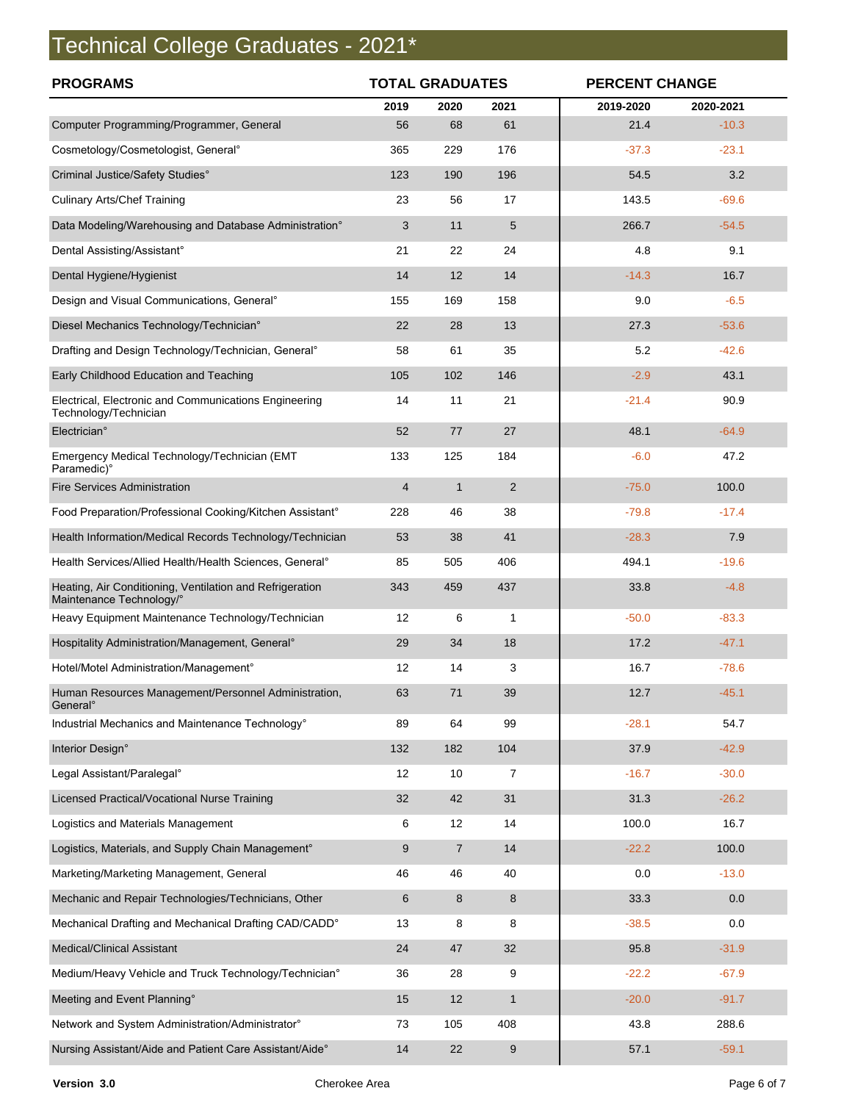# Technical College Graduates - 2021\*

| <b>PROGRAMS</b>                                                                      | <b>TOTAL GRADUATES</b> |                |                | <b>PERCENT CHANGE</b> |           |  |
|--------------------------------------------------------------------------------------|------------------------|----------------|----------------|-----------------------|-----------|--|
|                                                                                      | 2019                   | 2020           | 2021           | 2019-2020             | 2020-2021 |  |
| Computer Programming/Programmer, General                                             | 56                     | 68             | 61             | 21.4                  | $-10.3$   |  |
| Cosmetology/Cosmetologist, General <sup>o</sup>                                      | 365                    | 229            | 176            | $-37.3$               | $-23.1$   |  |
| Criminal Justice/Safety Studies°                                                     | 123                    | 190            | 196            | 54.5                  | 3.2       |  |
| <b>Culinary Arts/Chef Training</b>                                                   | 23                     | 56             | 17             | 143.5                 | $-69.6$   |  |
| Data Modeling/Warehousing and Database Administration°                               | 3                      | 11             | 5              | 266.7                 | $-54.5$   |  |
| Dental Assisting/Assistant°                                                          | 21                     | 22             | 24             | 4.8                   | 9.1       |  |
| Dental Hygiene/Hygienist                                                             | 14                     | 12             | 14             | $-14.3$               | 16.7      |  |
| Design and Visual Communications, General°                                           | 155                    | 169            | 158            | 9.0                   | $-6.5$    |  |
| Diesel Mechanics Technology/Technician°                                              | 22                     | 28             | 13             | 27.3                  | $-53.6$   |  |
| Drafting and Design Technology/Technician, General <sup>®</sup>                      | 58                     | 61             | 35             | 5.2                   | $-42.6$   |  |
| Early Childhood Education and Teaching                                               | 105                    | 102            | 146            | $-2.9$                | 43.1      |  |
| Electrical, Electronic and Communications Engineering<br>Technology/Technician       | 14                     | 11             | 21             | $-21.4$               | 90.9      |  |
| Electrician°                                                                         | 52                     | 77             | 27             | 48.1                  | $-64.9$   |  |
| Emergency Medical Technology/Technician (EMT<br>Paramedic)°                          | 133                    | 125            | 184            | $-6.0$                | 47.2      |  |
| <b>Fire Services Administration</b>                                                  | 4                      | $\mathbf{1}$   | $\overline{2}$ | $-75.0$               | 100.0     |  |
| Food Preparation/Professional Cooking/Kitchen Assistant°                             | 228                    | 46             | 38             | $-79.8$               | $-17.4$   |  |
| Health Information/Medical Records Technology/Technician                             | 53                     | 38             | 41             | $-28.3$               | 7.9       |  |
| Health Services/Allied Health/Health Sciences, General°                              | 85                     | 505            | 406            | 494.1                 | $-19.6$   |  |
| Heating, Air Conditioning, Ventilation and Refrigeration<br>Maintenance Technology/° | 343                    | 459            | 437            | 33.8                  | $-4.8$    |  |
| Heavy Equipment Maintenance Technology/Technician                                    | 12                     | 6              | 1              | $-50.0$               | $-83.3$   |  |
| Hospitality Administration/Management, General <sup>o</sup>                          | 29                     | 34             | 18             | 17.2                  | $-47.1$   |  |
| Hotel/Motel Administration/Management°                                               | 12                     | 14             | 3              | 16.7                  | $-78.6$   |  |
| Human Resources Management/Personnel Administration,<br>General <sup>°</sup>         | 63                     | 71             | 39             | 12.7                  | $-45.1$   |  |
| Industrial Mechanics and Maintenance Technology°                                     | 89                     | 64             | 99             | $-28.1$               | 54.7      |  |
| Interior Design°                                                                     | 132                    | 182            | 104            | 37.9                  | $-42.9$   |  |
| Legal Assistant/Paralegal°                                                           | 12                     | 10             | 7              | $-16.7$               | $-30.0$   |  |
| Licensed Practical/Vocational Nurse Training                                         | 32                     | 42             | 31             | 31.3                  | $-26.2$   |  |
| Logistics and Materials Management                                                   | 6                      | 12             | 14             | 100.0                 | 16.7      |  |
| Logistics, Materials, and Supply Chain Management°                                   | 9                      | $\overline{7}$ | 14             | $-22.2$               | 100.0     |  |
| Marketing/Marketing Management, General                                              | 46                     | 46             | 40             | 0.0                   | $-13.0$   |  |
| Mechanic and Repair Technologies/Technicians, Other                                  | 6                      | 8              | 8              | 33.3                  | 0.0       |  |
| Mechanical Drafting and Mechanical Drafting CAD/CADD°                                | 13                     | 8              | 8              | $-38.5$               | 0.0       |  |
| <b>Medical/Clinical Assistant</b>                                                    | 24                     | 47             | 32             | 95.8                  | $-31.9$   |  |
| Medium/Heavy Vehicle and Truck Technology/Technician°                                | 36                     | 28             | 9              | $-22.2$               | $-67.9$   |  |
| Meeting and Event Planning°                                                          | 15                     | 12             | $\mathbf{1}$   | $-20.0$               | $-91.7$   |  |
| Network and System Administration/Administrator°                                     | 73                     | 105            | 408            | 43.8                  | 288.6     |  |
| Nursing Assistant/Aide and Patient Care Assistant/Aide°                              | 14                     | 22             | 9              | 57.1                  | $-59.1$   |  |